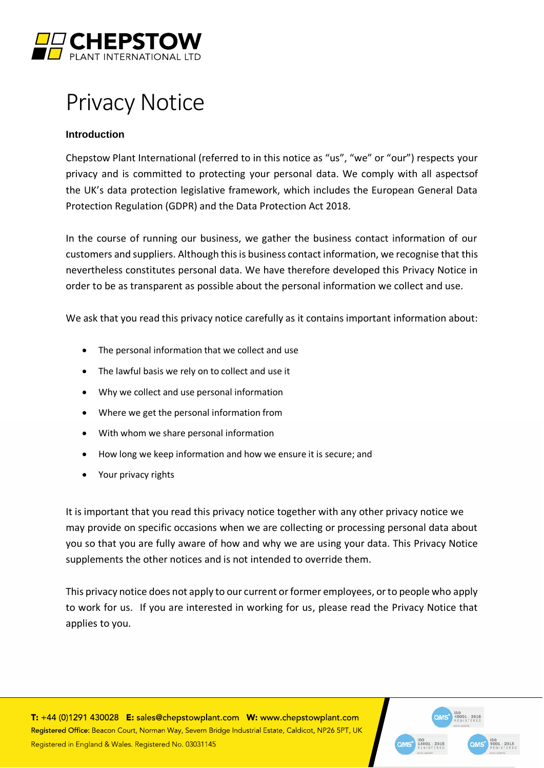

# Privacy Notice

## **Introduction**

Chepstow Plant International (referred to in this notice as "us", "we" or "our") respects your privacy and is committed to protecting your personal data. We comply with all aspectsof the UK's data protection legislative framework, which includes the European General Data Protection Regulation (GDPR) and the Data Protection Act 2018.

In the course of running our business, we gather the business contact information of our customers and suppliers. Although this is business contact information, we recognise that this nevertheless constitutes personal data. We have therefore developed this Privacy Notice in order to be as transparent as possible about the personal information we collect and use.

We ask that you read this privacy notice carefully as it contains important information about:

- The personal information that we collect and use
- The lawful basis we rely on to collect and use it
- Why we collect and use personal information
- Where we get the personal information from
- With whom we share personal information
- How long we keep information and how we ensure it is secure; and
- Your privacy rights

It is important that you read this privacy notice together with any other privacy notice we may provide on specific occasions when we are collecting or processing personal data about you so that you are fully aware of how and why we are using your data. This Privacy Notice supplements the other notices and is not intended to override them.

This privacy notice does not apply to our current or former employees, or to people who apply to work for us. If you are interested in working for us, please read the Privacy Notice that applies to you.

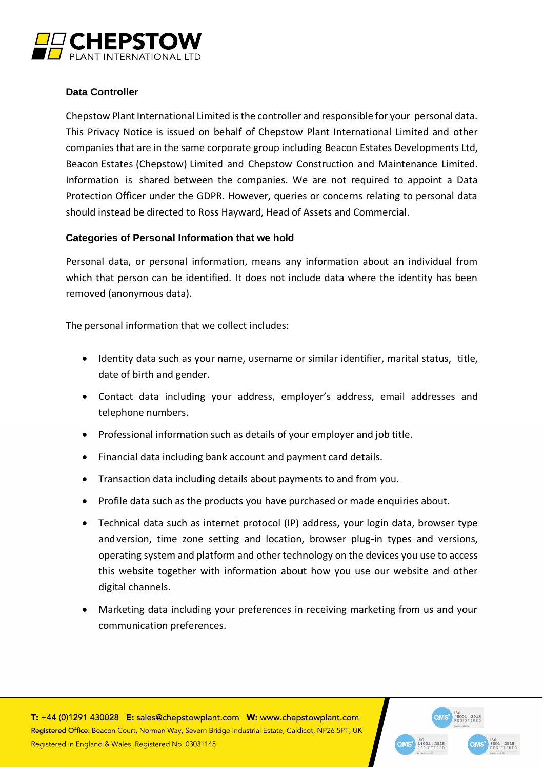

## **Data Controller**

Chepstow Plant International Limited is the controller and responsible for your personal data. This Privacy Notice is issued on behalf of Chepstow Plant International Limited and other companies that are in the same corporate group including Beacon Estates Developments Ltd, Beacon Estates (Chepstow) Limited and Chepstow Construction and Maintenance Limited. Information is shared between the companies. We are not required to appoint a Data Protection Officer under the GDPR. However, queries or concerns relating to personal data should instead be directed to Ross Hayward, Head of Assets and Commercial.

## **Categories of Personal Information that we hold**

Personal data, or personal information, means any information about an individual from which that person can be identified. It does not include data where the identity has been removed (anonymous data).

The personal information that we collect includes:

- Identity data such as your name, username or similar identifier, marital status, title, date of birth and gender.
- Contact data including your address, employer's address, email addresses and telephone numbers.
- Professional information such as details of your employer and job title.
- Financial data including bank account and payment card details.
- Transaction data including details about payments to and from you.
- Profile data such as the products you have purchased or made enquiries about.
- Technical data such as internet protocol (IP) address, your login data, browser type andversion, time zone setting and location, browser plug-in types and versions, operating system and platform and other technology on the devices you use to access this website together with information about how you use our website and other digital channels.
- Marketing data including your preferences in receiving marketing from us and your communication preferences.



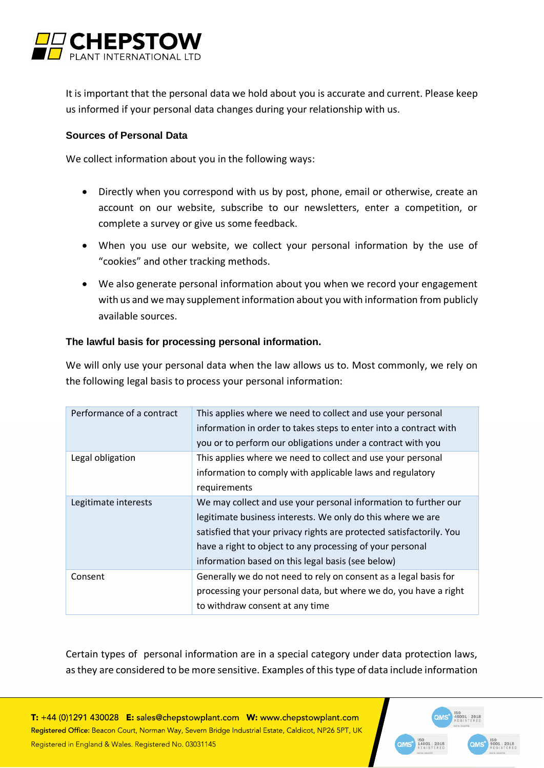

It is important that the personal data we hold about you is accurate and current. Please keep us informed if your personal data changes during your relationship with us.

#### **Sources of Personal Data**

We collect information about you in the following ways:

- Directly when you correspond with us by post, phone, email or otherwise, create an account on our website, subscribe to our newsletters, enter a competition, or complete a survey or give us some feedback.
- When you use our website, we collect your personal information by the use of "cookies" and other tracking methods.
- We also generate personal information about you when we record your engagement with us and we may supplement information about you with information from publicly available sources.

#### **The lawful basis for processing personal information.**

We will only use your personal data when the law allows us to. Most commonly, we rely on the following legal basis to process your personal information:

| Performance of a contract | This applies where we need to collect and use your personal<br>information in order to takes steps to enter into a contract with<br>you or to perform our obligations under a contract with you                                                                                                                          |
|---------------------------|--------------------------------------------------------------------------------------------------------------------------------------------------------------------------------------------------------------------------------------------------------------------------------------------------------------------------|
| Legal obligation          | This applies where we need to collect and use your personal<br>information to comply with applicable laws and regulatory<br>requirements                                                                                                                                                                                 |
| Legitimate interests      | We may collect and use your personal information to further our<br>legitimate business interests. We only do this where we are<br>satisfied that your privacy rights are protected satisfactorily. You<br>have a right to object to any processing of your personal<br>information based on this legal basis (see below) |
| Consent                   | Generally we do not need to rely on consent as a legal basis for<br>processing your personal data, but where we do, you have a right<br>to withdraw consent at any time                                                                                                                                                  |

Certain types of personal information are in a special category under data protection laws, asthey are considered to be more sensitive. Examples of thistype of data include information

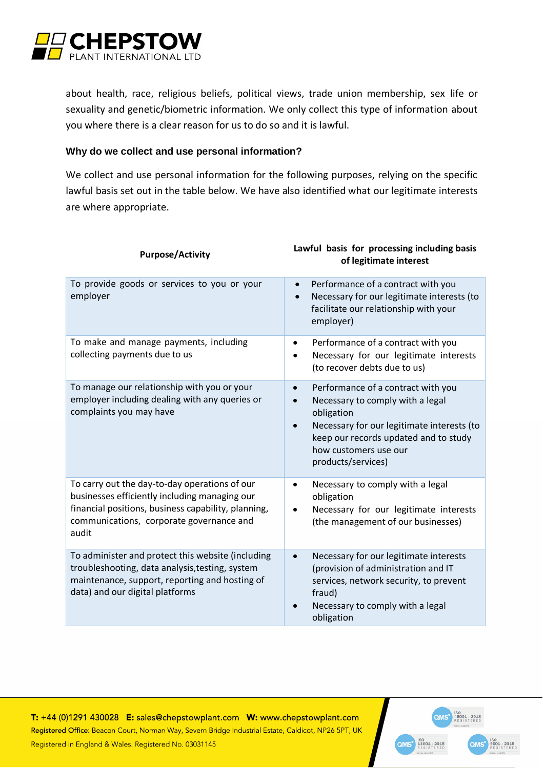

about health, race, religious beliefs, political views, trade union membership, sex life or sexuality and genetic/biometric information. We only collect this type of information about you where there is a clear reason for us to do so and it is lawful.

#### **Why do we collect and use personal information?**

We collect and use personal information for the following purposes, relying on the specific lawful basis set out in the table below. We have also identified what our legitimate interests are where appropriate.

| <b>Purpose/Activity</b>                                                                                                                                                                                    | Lawful basis for processing including basis<br>of legitimate interest                                                                                                                                                                                             |
|------------------------------------------------------------------------------------------------------------------------------------------------------------------------------------------------------------|-------------------------------------------------------------------------------------------------------------------------------------------------------------------------------------------------------------------------------------------------------------------|
| To provide goods or services to you or your<br>employer                                                                                                                                                    | Performance of a contract with you<br>$\bullet$<br>Necessary for our legitimate interests (to<br>$\bullet$<br>facilitate our relationship with your<br>employer)                                                                                                  |
| To make and manage payments, including<br>collecting payments due to us                                                                                                                                    | Performance of a contract with you<br>Necessary for our legitimate interests<br>(to recover debts due to us)                                                                                                                                                      |
| To manage our relationship with you or your<br>employer including dealing with any queries or<br>complaints you may have                                                                                   | Performance of a contract with you<br>$\bullet$<br>Necessary to comply with a legal<br>$\bullet$<br>obligation<br>Necessary for our legitimate interests (to<br>$\bullet$<br>keep our records updated and to study<br>how customers use our<br>products/services) |
| To carry out the day-to-day operations of our<br>businesses efficiently including managing our<br>financial positions, business capability, planning,<br>communications, corporate governance and<br>audit | Necessary to comply with a legal<br>obligation<br>Necessary for our legitimate interests<br>(the management of our businesses)                                                                                                                                    |
| To administer and protect this website (including<br>troubleshooting, data analysis, testing, system<br>maintenance, support, reporting and hosting of<br>data) and our digital platforms                  | Necessary for our legitimate interests<br>(provision of administration and IT<br>services, network security, to prevent<br>fraud)<br>Necessary to comply with a legal<br>obligation                                                                               |

T: +44 (0)1291 430028 E: sales@chepstowplant.com W: www.chepstowplant.com Registered Office: Beacon Court, Norman Way, Severn Bridge Industrial Estate, Caldicot, NP26 5PT, UK Registered in England & Wales. Registered No. 03031145



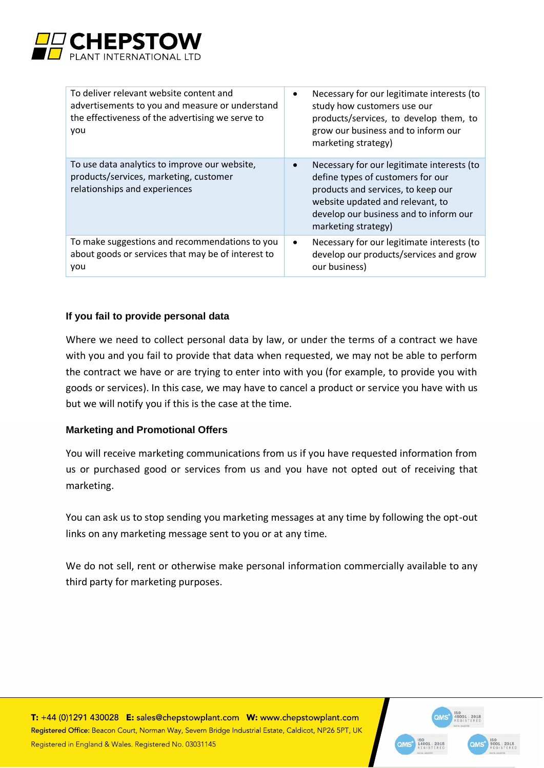

| To deliver relevant website content and<br>advertisements to you and measure or understand<br>the effectiveness of the advertising we serve to<br>you | Necessary for our legitimate interests (to<br>$\bullet$<br>study how customers use our<br>products/services, to develop them, to<br>grow our business and to inform our<br>marketing strategy)                             |
|-------------------------------------------------------------------------------------------------------------------------------------------------------|----------------------------------------------------------------------------------------------------------------------------------------------------------------------------------------------------------------------------|
| To use data analytics to improve our website,<br>products/services, marketing, customer<br>relationships and experiences                              | Necessary for our legitimate interests (to<br>define types of customers for our<br>products and services, to keep our<br>website updated and relevant, to<br>develop our business and to inform our<br>marketing strategy) |
| To make suggestions and recommendations to you<br>about goods or services that may be of interest to<br>you                                           | Necessary for our legitimate interests (to<br>$\bullet$<br>develop our products/services and grow<br>our business)                                                                                                         |

## **If you fail to provide personal data**

Where we need to collect personal data by law, or under the terms of a contract we have with you and you fail to provide that data when requested, we may not be able to perform the contract we have or are trying to enter into with you (for example, to provide you with goods or services). In this case, we may have to cancel a product or service you have with us but we will notify you if this is the case at the time.

## **Marketing and Promotional Offers**

You will receive marketing communications from us if you have requested information from us or purchased good or services from us and you have not opted out of receiving that marketing.

You can ask us to stop sending you marketing messages at any time by following the opt-out links on any marketing message sent to you or at any time.

We do not sell, rent or otherwise make personal information commercially available to any third party for marketing purposes.

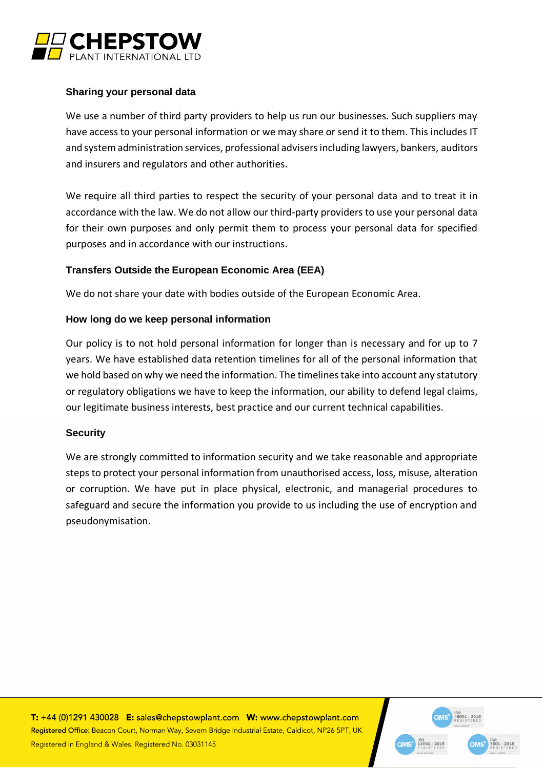

## **Sharing your personal data**

We use a number of third party providers to help us run our businesses. Such suppliers may have access to your personal information or we may share or send it to them. This includes IT and system administration services, professional advisers including lawyers, bankers, auditors and insurers and regulators and other authorities.

We require all third parties to respect the security of your personal data and to treat it in accordance with the law. We do not allow our third-party providers to use your personal data for their own purposes and only permit them to process your personal data for specified purposes and in accordance with our instructions.

## **Transfers Outside the European Economic Area (EEA)**

We do not share your date with bodies outside of the European Economic Area.

## **How long do we keep personal information**

Our policy is to not hold personal information for longer than is necessary and for up to 7 years. We have established data retention timelines for all of the personal information that we hold based on why we need the information. The timelines take into account any statutory or regulatory obligations we have to keep the information, our ability to defend legal claims, our legitimate business interests, best practice and our current technical capabilities.

## **Security**

We are strongly committed to information security and we take reasonable and appropriate steps to protect your personal information from unauthorised access, loss, misuse, alteration or corruption. We have put in place physical, electronic, and managerial procedures to safeguard and secure the information you provide to us including the use of encryption and pseudonymisation.

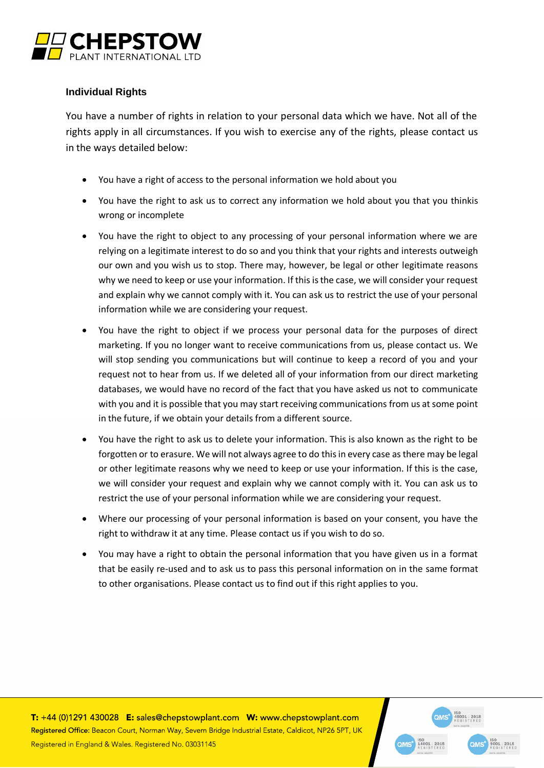

## **Individual Rights**

You have a number of rights in relation to your personal data which we have. Not all of the rights apply in all circumstances. If you wish to exercise any of the rights, please contact us in the ways detailed below:

- You have a right of access to the personal information we hold about you
- You have the right to ask us to correct any information we hold about you that you thinkis wrong or incomplete
- You have the right to object to any processing of your personal information where we are relying on a legitimate interest to do so and you think that your rights and interests outweigh our own and you wish us to stop. There may, however, be legal or other legitimate reasons why we need to keep or use your information. If this is the case, we will consider your request and explain why we cannot comply with it. You can ask us to restrict the use of your personal information while we are considering your request.
- You have the right to object if we process your personal data for the purposes of direct marketing. If you no longer want to receive communications from us, please contact us. We will stop sending you communications but will continue to keep a record of you and your request not to hear from us. If we deleted all of your information from our direct marketing databases, we would have no record of the fact that you have asked us not to communicate with you and it is possible that you may start receiving communications from us at some point in the future, if we obtain your details from a different source.
- You have the right to ask us to delete your information. This is also known as the right to be forgotten or to erasure. We will not always agree to do this in every case as there may be legal or other legitimate reasons why we need to keep or use your information. If this is the case, we will consider your request and explain why we cannot comply with it. You can ask us to restrict the use of your personal information while we are considering your request.
- Where our processing of your personal information is based on your consent, you have the right to withdraw it at any time. Please contact us if you wish to do so.
- You may have a right to obtain the personal information that you have given us in a format that be easily re-used and to ask us to pass this personal information on in the same format to other organisations. Please contact us to find out if this right applies to you.